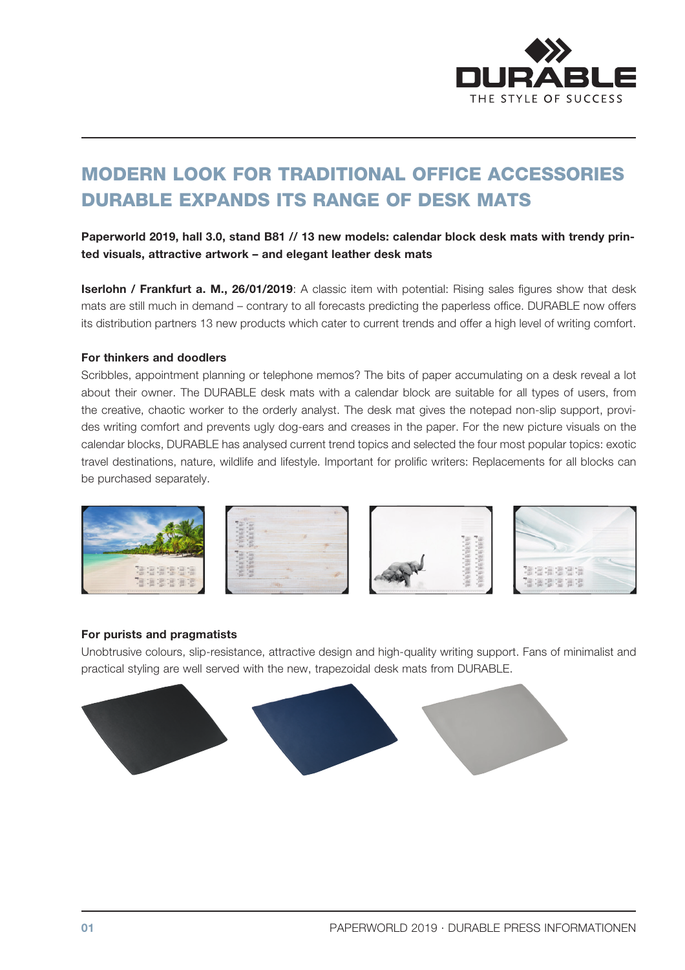

# MODERN LOOK FOR TRADITIONAL OFFICE ACCESSORIES DURABLE EXPANDS ITS RANGE OF DESK MATS

Paperworld 2019, hall 3.0, stand B81 // 13 new models: calendar block desk mats with trendy printed visuals, attractive artwork – and elegant leather desk mats

**Iserlohn / Frankfurt a. M., 26/01/2019**: A classic item with potential: Rising sales figures show that desk mats are still much in demand – contrary to all forecasts predicting the paperless office. DURABLE now offers its distribution partners 13 new products which cater to current trends and offer a high level of writing comfort.

#### For thinkers and doodlers

Scribbles, appointment planning or telephone memos? The bits of paper accumulating on a desk reveal a lot about their owner. The DURABLE desk mats with a calendar block are suitable for all types of users, from the creative, chaotic worker to the orderly analyst. The desk mat gives the notepad non-slip support, provides writing comfort and prevents ugly dog-ears and creases in the paper. For the new picture visuals on the calendar blocks, DURABLE has analysed current trend topics and selected the four most popular topics: exotic travel destinations, nature, wildlife and lifestyle. Important for prolific writers: Replacements for all blocks can be purchased separately.



#### For purists and pragmatists

Unobtrusive colours, slip-resistance, attractive design and high-quality writing support. Fans of minimalist and practical styling are well served with the new, trapezoidal desk mats from DURABLE.

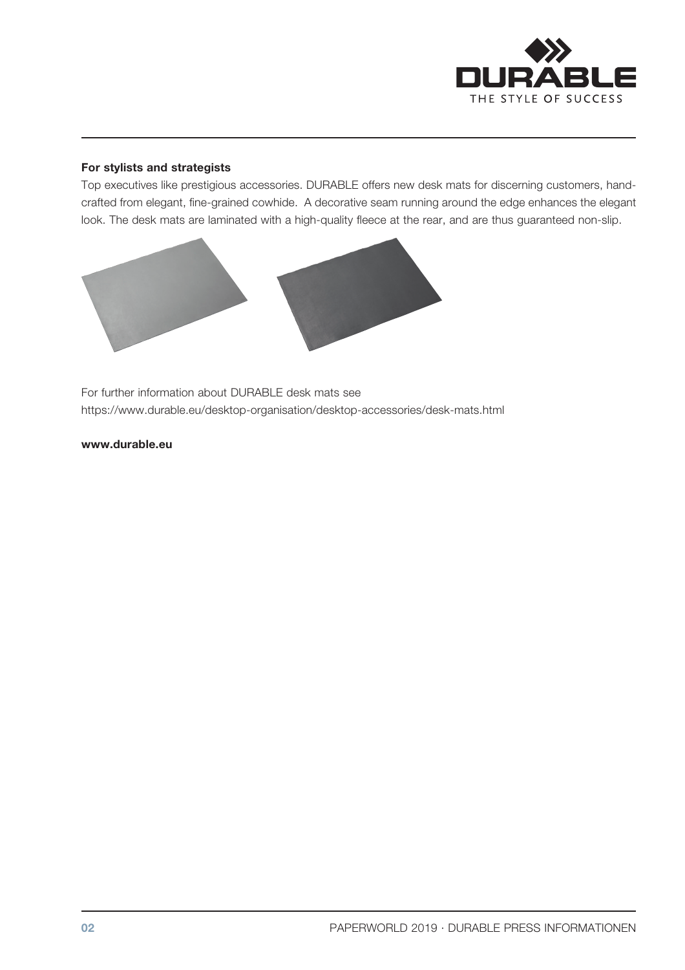

### For stylists and strategists

Top executives like prestigious accessories. DURABLE offers new desk mats for discerning customers, handcrafted from elegant, fine-grained cowhide. A decorative seam running around the edge enhances the elegant look. The desk mats are laminated with a high-quality fleece at the rear, and are thus guaranteed non-slip.



For further information about DURABLE desk mats see https://www.durable.eu/desktop-organisation/desktop-accessories/desk-mats.html

www.durable.eu